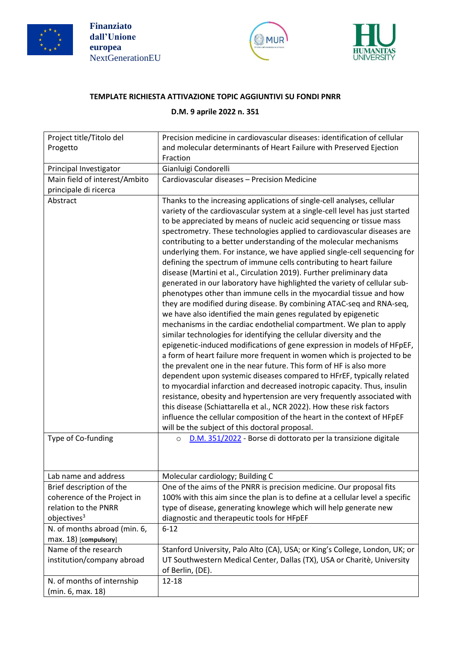





## **TEMPLATE RICHIESTA ATTIVAZIONE TOPIC AGGIUNTIVI SU FONDI PNRR**

## **D.M. 9 aprile 2022 n. 351**

| Project title/Titolo del                              | Precision medicine in cardiovascular diseases: identification of cellular                                                                                                                                                                                                                                                                                                                                                                                                                                                                                                                                                                                                                                                                                                                                                                                                                                                                                                                                                                                                                                                                                                                                                                                                                                                                                                                                                                                                                                                                                                                                                                                                                                                   |
|-------------------------------------------------------|-----------------------------------------------------------------------------------------------------------------------------------------------------------------------------------------------------------------------------------------------------------------------------------------------------------------------------------------------------------------------------------------------------------------------------------------------------------------------------------------------------------------------------------------------------------------------------------------------------------------------------------------------------------------------------------------------------------------------------------------------------------------------------------------------------------------------------------------------------------------------------------------------------------------------------------------------------------------------------------------------------------------------------------------------------------------------------------------------------------------------------------------------------------------------------------------------------------------------------------------------------------------------------------------------------------------------------------------------------------------------------------------------------------------------------------------------------------------------------------------------------------------------------------------------------------------------------------------------------------------------------------------------------------------------------------------------------------------------------|
| Progetto                                              | and molecular determinants of Heart Failure with Preserved Ejection                                                                                                                                                                                                                                                                                                                                                                                                                                                                                                                                                                                                                                                                                                                                                                                                                                                                                                                                                                                                                                                                                                                                                                                                                                                                                                                                                                                                                                                                                                                                                                                                                                                         |
|                                                       | Fraction                                                                                                                                                                                                                                                                                                                                                                                                                                                                                                                                                                                                                                                                                                                                                                                                                                                                                                                                                                                                                                                                                                                                                                                                                                                                                                                                                                                                                                                                                                                                                                                                                                                                                                                    |
| Principal Investigator                                | Gianluigi Condorelli                                                                                                                                                                                                                                                                                                                                                                                                                                                                                                                                                                                                                                                                                                                                                                                                                                                                                                                                                                                                                                                                                                                                                                                                                                                                                                                                                                                                                                                                                                                                                                                                                                                                                                        |
| Main field of interest/Ambito                         | Cardiovascular diseases - Precision Medicine                                                                                                                                                                                                                                                                                                                                                                                                                                                                                                                                                                                                                                                                                                                                                                                                                                                                                                                                                                                                                                                                                                                                                                                                                                                                                                                                                                                                                                                                                                                                                                                                                                                                                |
| principale di ricerca                                 |                                                                                                                                                                                                                                                                                                                                                                                                                                                                                                                                                                                                                                                                                                                                                                                                                                                                                                                                                                                                                                                                                                                                                                                                                                                                                                                                                                                                                                                                                                                                                                                                                                                                                                                             |
| Abstract                                              | Thanks to the increasing applications of single-cell analyses, cellular<br>variety of the cardiovascular system at a single-cell level has just started<br>to be appreciated by means of nucleic acid sequencing or tissue mass<br>spectrometry. These technologies applied to cardiovascular diseases are<br>contributing to a better understanding of the molecular mechanisms<br>underlying them. For instance, we have applied single-cell sequencing for<br>defining the spectrum of immune cells contributing to heart failure<br>disease (Martini et al., Circulation 2019). Further preliminary data<br>generated in our laboratory have highlighted the variety of cellular sub-<br>phenotypes other than immune cells in the myocardial tissue and how<br>they are modified during disease. By combining ATAC-seq and RNA-seq,<br>we have also identified the main genes regulated by epigenetic<br>mechanisms in the cardiac endothelial compartment. We plan to apply<br>similar technologies for identifying the cellular diversity and the<br>epigenetic-induced modifications of gene expression in models of HFpEF,<br>a form of heart failure more frequent in women which is projected to be<br>the prevalent one in the near future. This form of HF is also more<br>dependent upon systemic diseases compared to HFrEF, typically related<br>to myocardial infarction and decreased inotropic capacity. Thus, insulin<br>resistance, obesity and hypertension are very frequently associated with<br>this disease (Schiattarella et al., NCR 2022). How these risk factors<br>influence the cellular composition of the heart in the context of HFpEF<br>will be the subject of this doctoral proposal. |
| Type of Co-funding                                    | D.M. 351/2022 - Borse di dottorato per la transizione digitale<br>$\circ$                                                                                                                                                                                                                                                                                                                                                                                                                                                                                                                                                                                                                                                                                                                                                                                                                                                                                                                                                                                                                                                                                                                                                                                                                                                                                                                                                                                                                                                                                                                                                                                                                                                   |
|                                                       |                                                                                                                                                                                                                                                                                                                                                                                                                                                                                                                                                                                                                                                                                                                                                                                                                                                                                                                                                                                                                                                                                                                                                                                                                                                                                                                                                                                                                                                                                                                                                                                                                                                                                                                             |
| Lab name and address                                  | Molecular cardiology; Building C                                                                                                                                                                                                                                                                                                                                                                                                                                                                                                                                                                                                                                                                                                                                                                                                                                                                                                                                                                                                                                                                                                                                                                                                                                                                                                                                                                                                                                                                                                                                                                                                                                                                                            |
| Brief description of the                              | One of the aims of the PNRR is precision medicine. Our proposal fits                                                                                                                                                                                                                                                                                                                                                                                                                                                                                                                                                                                                                                                                                                                                                                                                                                                                                                                                                                                                                                                                                                                                                                                                                                                                                                                                                                                                                                                                                                                                                                                                                                                        |
| coherence of the Project in                           | 100% with this aim since the plan is to define at a cellular level a specific                                                                                                                                                                                                                                                                                                                                                                                                                                                                                                                                                                                                                                                                                                                                                                                                                                                                                                                                                                                                                                                                                                                                                                                                                                                                                                                                                                                                                                                                                                                                                                                                                                               |
| relation to the PNRR                                  | type of disease, generating knowlege which will help generate new                                                                                                                                                                                                                                                                                                                                                                                                                                                                                                                                                                                                                                                                                                                                                                                                                                                                                                                                                                                                                                                                                                                                                                                                                                                                                                                                                                                                                                                                                                                                                                                                                                                           |
| objectives <sup>3</sup>                               | diagnostic and therapeutic tools for HFpEF                                                                                                                                                                                                                                                                                                                                                                                                                                                                                                                                                                                                                                                                                                                                                                                                                                                                                                                                                                                                                                                                                                                                                                                                                                                                                                                                                                                                                                                                                                                                                                                                                                                                                  |
| N. of months abroad (min. 6,<br>max. 18) [compulsory] | $6 - 12$                                                                                                                                                                                                                                                                                                                                                                                                                                                                                                                                                                                                                                                                                                                                                                                                                                                                                                                                                                                                                                                                                                                                                                                                                                                                                                                                                                                                                                                                                                                                                                                                                                                                                                                    |
| Name of the research<br>institution/company abroad    | Stanford University, Palo Alto (CA), USA; or King's College, London, UK; or<br>UT Southwestern Medical Center, Dallas (TX), USA or Charitè, University<br>of Berlin, (DE).                                                                                                                                                                                                                                                                                                                                                                                                                                                                                                                                                                                                                                                                                                                                                                                                                                                                                                                                                                                                                                                                                                                                                                                                                                                                                                                                                                                                                                                                                                                                                  |
| N. of months of internship<br>(min. 6, max. 18)       | 12-18                                                                                                                                                                                                                                                                                                                                                                                                                                                                                                                                                                                                                                                                                                                                                                                                                                                                                                                                                                                                                                                                                                                                                                                                                                                                                                                                                                                                                                                                                                                                                                                                                                                                                                                       |